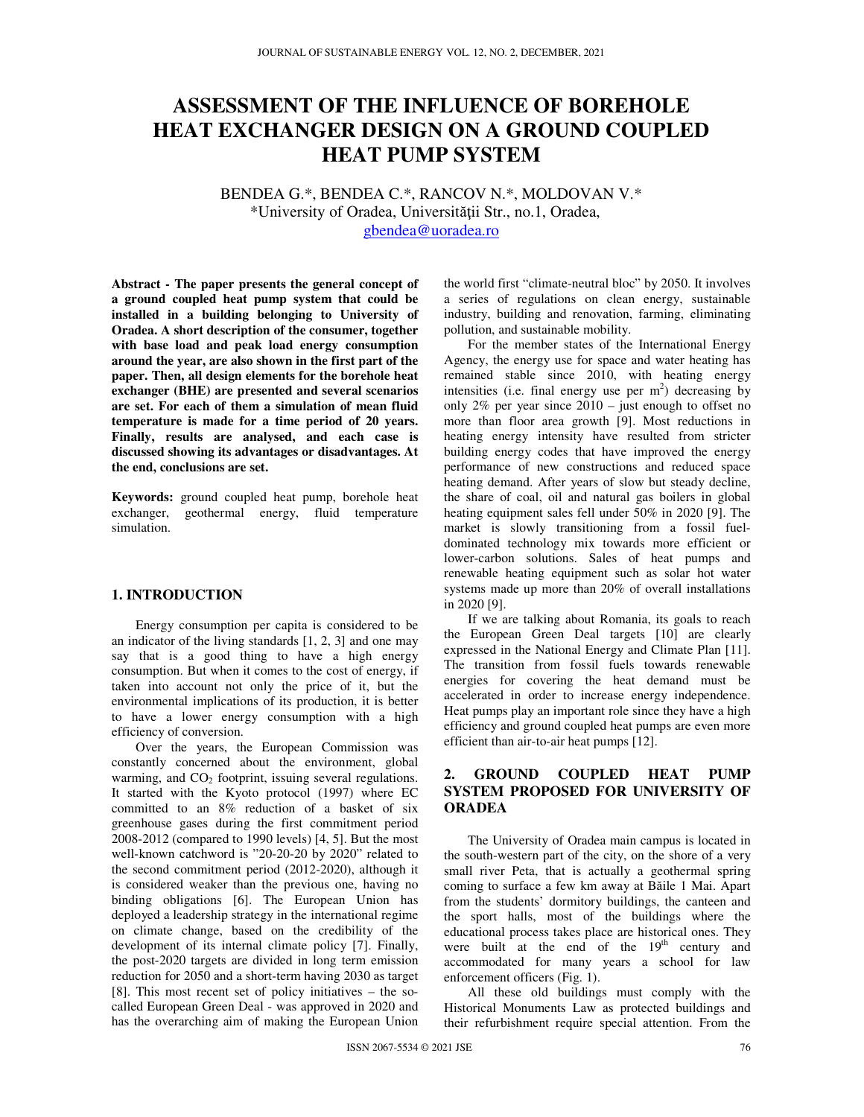# **ASSESSMENT OF THE INFLUENCE OF BOREHOLE HEAT EXCHANGER DESIGN ON A GROUND COUPLED HEAT PUMP SYSTEM**

BENDEA G.\*, BENDEA C.\*, RANCOV N.\*, MOLDOVAN V.\* \*University of Oradea, Universităţii Str., no.1, Oradea, gbendea@uoradea.ro

**Abstract - The paper presents the general concept of a ground coupled heat pump system that could be installed in a building belonging to University of Oradea. A short description of the consumer, together with base load and peak load energy consumption around the year, are also shown in the first part of the paper. Then, all design elements for the borehole heat exchanger (BHE) are presented and several scenarios are set. For each of them a simulation of mean fluid temperature is made for a time period of 20 years. Finally, results are analysed, and each case is discussed showing its advantages or disadvantages. At the end, conclusions are set.** 

**Keywords:** ground coupled heat pump, borehole heat exchanger, geothermal energy, fluid temperature simulation.

### **1. INTRODUCTION**

Energy consumption per capita is considered to be an indicator of the living standards [1, 2, 3] and one may say that is a good thing to have a high energy consumption. But when it comes to the cost of energy, if taken into account not only the price of it, but the environmental implications of its production, it is better to have a lower energy consumption with a high efficiency of conversion.

Over the years, the European Commission was constantly concerned about the environment, global warming, and  $CO<sub>2</sub>$  footprint, issuing several regulations. It started with the Kyoto protocol (1997) where EC committed to an 8% reduction of a basket of six greenhouse gases during the first commitment period 2008-2012 (compared to 1990 levels) [4, 5]. But the most well-known catchword is "20-20-20 by 2020" related to the second commitment period (2012-2020), although it is considered weaker than the previous one, having no binding obligations [6]. The European Union has deployed a leadership strategy in the international regime on climate change, based on the credibility of the development of its internal climate policy [7]. Finally, the post-2020 targets are divided in long term emission reduction for 2050 and a short-term having 2030 as target [8]. This most recent set of policy initiatives – the socalled European Green Deal - was approved in 2020 and has the overarching aim of making the European Union

the world first "climate-neutral bloc" by 2050. It involves a series of regulations on clean energy, sustainable industry, building and renovation, farming, eliminating pollution, and sustainable mobility.

For the member states of the International Energy Agency, the energy use for space and water heating has remained stable since 2010, with heating energy intensities (i.e. final energy use per  $m<sup>2</sup>$ ) decreasing by only 2% per year since  $2010 -$  just enough to offset no more than floor area growth [9]. Most reductions in heating energy intensity have resulted from stricter building energy codes that have improved the energy performance of new constructions and reduced space heating demand. After years of slow but steady decline, the share of coal, oil and natural gas boilers in global heating equipment sales fell under 50% in 2020 [9]. The market is slowly transitioning from a fossil fueldominated technology mix towards more efficient or lower-carbon solutions. Sales of heat pumps and renewable heating equipment such as solar hot water systems made up more than 20% of overall installations in 2020 [9].

If we are talking about Romania, its goals to reach the European Green Deal targets [10] are clearly expressed in the National Energy and Climate Plan [11]. The transition from fossil fuels towards renewable energies for covering the heat demand must be accelerated in order to increase energy independence. Heat pumps play an important role since they have a high efficiency and ground coupled heat pumps are even more efficient than air-to-air heat pumps [12].

## **2. GROUND COUPLED HEAT PUMP SYSTEM PROPOSED FOR UNIVERSITY OF ORADEA**

The University of Oradea main campus is located in the south-western part of the city, on the shore of a very small river Peta, that is actually a geothermal spring coming to surface a few km away at Băile 1 Mai. Apart from the students' dormitory buildings, the canteen and the sport halls, most of the buildings where the educational process takes place are historical ones. They were built at the end of the  $19<sup>th</sup>$  century and accommodated for many years a school for law enforcement officers (Fig. 1).

All these old buildings must comply with the Historical Monuments Law as protected buildings and their refurbishment require special attention. From the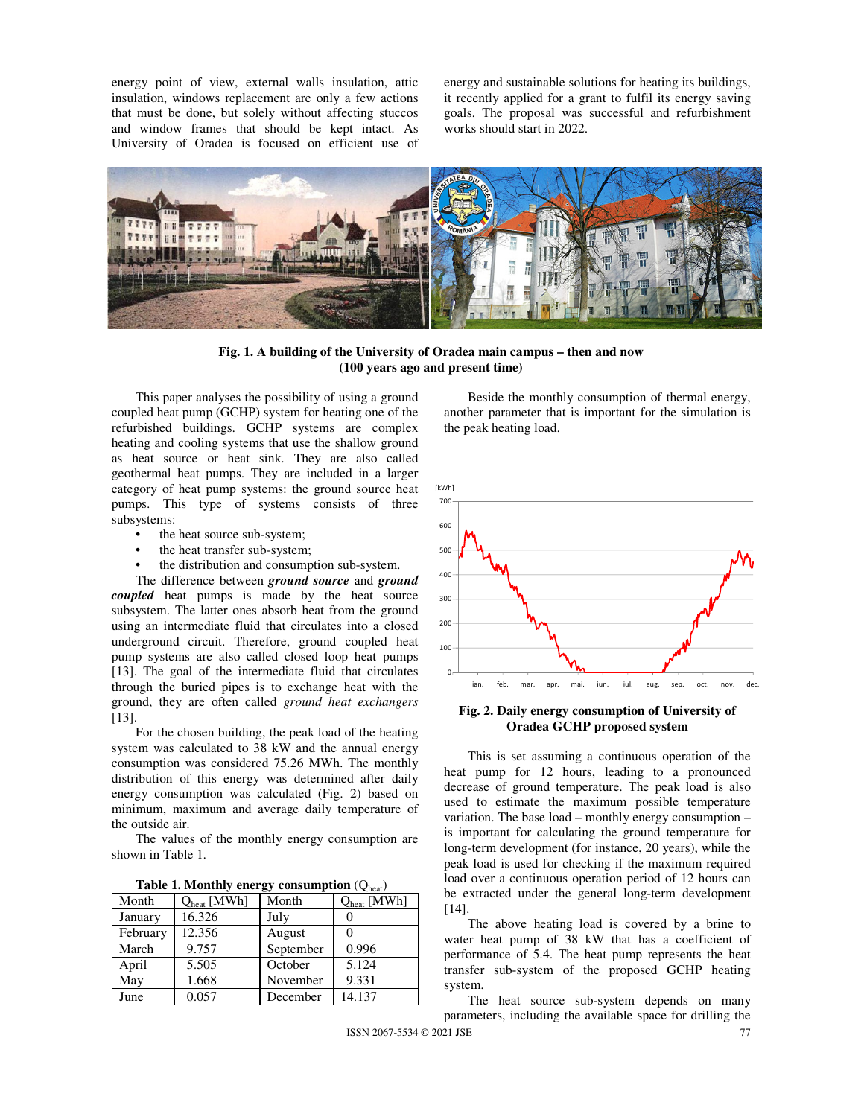energy point of view, external walls insulation, attic insulation, windows replacement are only a few actions that must be done, but solely without affecting stuccos and window frames that should be kept intact. As University of Oradea is focused on efficient use of energy and sustainable solutions for heating its buildings, it recently applied for a grant to fulfil its energy saving goals. The proposal was successful and refurbishment works should start in 2022.



**Fig. 1. A building of the University of Oradea main campus – then and now (100 years ago and present time)** 

This paper analyses the possibility of using a ground coupled heat pump (GCHP) system for heating one of the refurbished buildings. GCHP systems are complex heating and cooling systems that use the shallow ground as heat source or heat sink. They are also called geothermal heat pumps. They are included in a larger category of heat pump systems: the ground source heat pumps. This type of systems consists of three subsystems:

- the heat source sub-system;
- the heat transfer sub-system;
- the distribution and consumption sub-system.

The difference between *ground source* and *ground coupled* heat pumps is made by the heat source subsystem. The latter ones absorb heat from the ground using an intermediate fluid that circulates into a closed underground circuit. Therefore, ground coupled heat pump systems are also called closed loop heat pumps [13]. The goal of the intermediate fluid that circulates through the buried pipes is to exchange heat with the ground, they are often called *ground heat exchangers* [13].

For the chosen building, the peak load of the heating system was calculated to 38 kW and the annual energy consumption was considered 75.26 MWh. The monthly distribution of this energy was determined after daily energy consumption was calculated (Fig. 2) based on minimum, maximum and average daily temperature of the outside air.

The values of the monthly energy consumption are shown in Table 1.

| Table 1. Monthly energy consumption $(Q_{\text{heat}})$ |  |
|---------------------------------------------------------|--|
|---------------------------------------------------------|--|

| Month    | $Q_{heat}$ [MWh] | Month     | $Q_{heat}$ [MWh] |
|----------|------------------|-----------|------------------|
| January  | 16.326           | July      |                  |
| February | 12.356           | August    |                  |
| March    | 9.757            | September | 0.996            |
| April    | 5.505            | October   | 5.124            |
| May      | 1.668            | November  | 9.331            |
| June     | 0.057            | December  | 14.137           |

Beside the monthly consumption of thermal energy, another parameter that is important for the simulation is the peak heating load.



**Fig. 2. Daily energy consumption of University of Oradea GCHP proposed system** 

This is set assuming a continuous operation of the heat pump for 12 hours, leading to a pronounced decrease of ground temperature. The peak load is also used to estimate the maximum possible temperature variation. The base load – monthly energy consumption – is important for calculating the ground temperature for long-term development (for instance, 20 years), while the peak load is used for checking if the maximum required load over a continuous operation period of 12 hours can be extracted under the general long-term development [14].

The above heating load is covered by a brine to water heat pump of 38 kW that has a coefficient of performance of 5.4. The heat pump represents the heat transfer sub-system of the proposed GCHP heating system.

The heat source sub-system depends on many parameters, including the available space for drilling the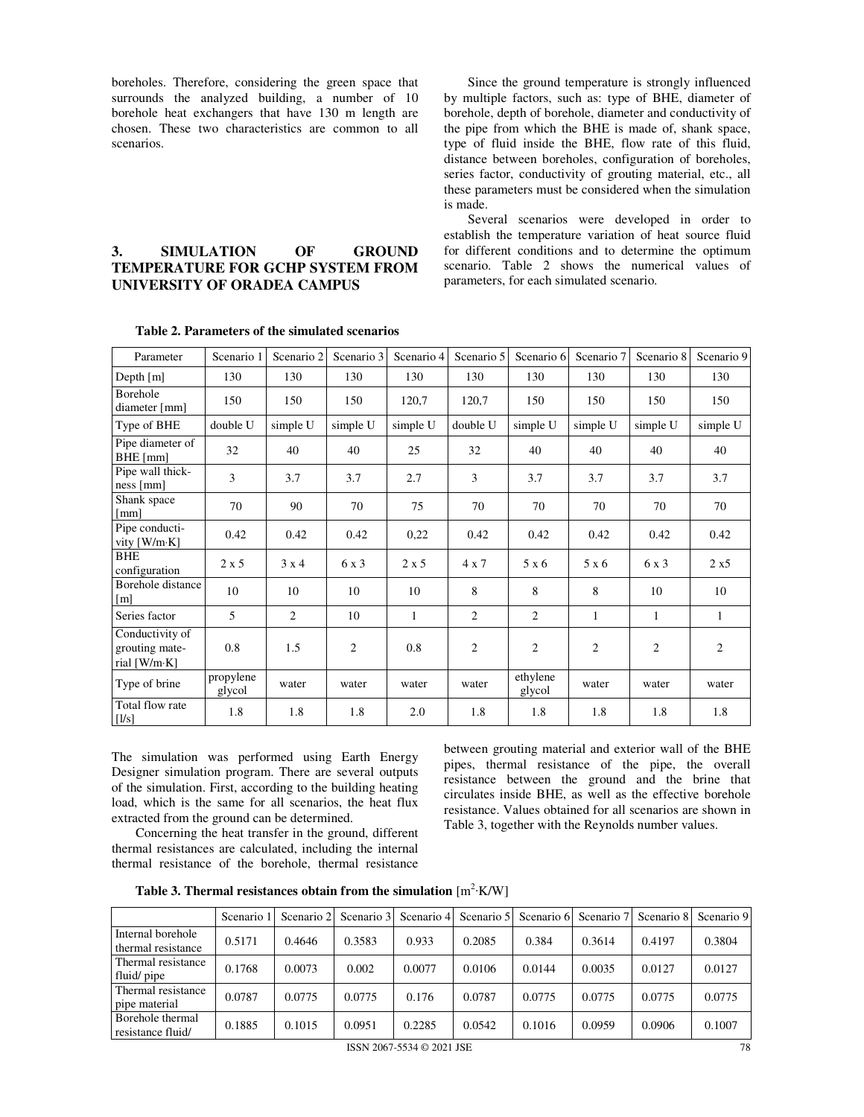boreholes. Therefore, considering the green space that surrounds the analyzed building, a number of 10 borehole heat exchangers that have 130 m length are chosen. These two characteristics are common to all scenarios.

Since the ground temperature is strongly influenced by multiple factors, such as: type of BHE, diameter of borehole, depth of borehole, diameter and conductivity of the pipe from which the BHE is made of, shank space, type of fluid inside the BHE, flow rate of this fluid, distance between boreholes, configuration of boreholes, series factor, conductivity of grouting material, etc., all these parameters must be considered when the simulation is made.

Several scenarios were developed in order to establish the temperature variation of heat source fluid for different conditions and to determine the optimum scenario. Table 2 shows the numerical values of parameters, for each simulated scenario.

| Parameter                                         | Scenario 1          | Scenario 2 | Scenario 3     | Scenario 4   | Scenario 5     | Scenario 6         | Scenario 7     | Scenario 8     | Scenario 9 |
|---------------------------------------------------|---------------------|------------|----------------|--------------|----------------|--------------------|----------------|----------------|------------|
| Depth $[m]$                                       | 130                 | 130        | 130            | 130          | 130            | 130                | 130            | 130            | 130        |
| Borehole<br>diameter [mm]                         | 150                 | 150        | 150            | 120,7        | 120,7          | 150                | 150            | 150            | 150        |
| Type of BHE                                       | double U            | simple U   | simple U       | simple U     | double U       | simple U           | simple U       | simple U       | simple U   |
| Pipe diameter of<br>BHE [mm]                      | 32                  | 40         | 40             | 25           | 32             | 40                 | 40             | 40             | 40         |
| Pipe wall thick-<br>ness[mm]                      | 3                   | 3.7        | 3.7            | 2.7          | 3              | 3.7                | 3.7            | 3.7            | 3.7        |
| Shank space<br>[mm]                               | 70                  | 90         | 70             | 75           | 70             | 70                 | 70             | 70             | 70         |
| Pipe conducti-<br>vity [W/m·K]                    | 0.42                | 0.42       | 0.42           | 0,22         | 0.42           | 0.42               | 0.42           | 0.42           | 0.42       |
| <b>BHE</b><br>configuration                       | $2 \times 5$        | 3x4        | 6 x 3          | $2 \times 5$ | $4 \times 7$   | 5 x 6              | $5 \times 6$   | 6 x 3          | 2 x 5      |
| Borehole distance<br>[m]                          | 10                  | 10         | 10             | 10           | 8              | 8                  | 8              | 10             | 10         |
| Series factor                                     | 5                   | 2          | 10             | 1            | $\overline{c}$ | 2                  | 1              | $\mathbf{1}$   | 1          |
| Conductivity of<br>grouting mate-<br>rial [W/m·K] | 0.8                 | 1.5        | $\overline{c}$ | 0.8          | $\overline{2}$ | $\overline{2}$     | $\overline{2}$ | $\overline{c}$ | 2          |
| Type of brine                                     | propylene<br>glycol | water      | water          | water        | water          | ethylene<br>glycol | water          | water          | water      |
| Total flow rate<br>[1/s]                          | 1.8                 | 1.8        | 1.8            | 2.0          | 1.8            | 1.8                | 1.8            | 1.8            | 1.8        |

#### **Table 2. Parameters of the simulated scenarios**

**3. SIMULATION OF GROUND TEMPERATURE FOR GCHP SYSTEM FROM** 

**UNIVERSITY OF ORADEA CAMPUS** 

The simulation was performed using Earth Energy Designer simulation program. There are several outputs of the simulation. First, according to the building heating load, which is the same for all scenarios, the heat flux extracted from the ground can be determined.

Concerning the heat transfer in the ground, different thermal resistances are calculated, including the internal thermal resistance of the borehole, thermal resistance between grouting material and exterior wall of the BHE pipes, thermal resistance of the pipe, the overall resistance between the ground and the brine that circulates inside BHE, as well as the effective borehole resistance. Values obtained for all scenarios are shown in Table 3, together with the Reynolds number values.

Table 3. Thermal resistances obtain from the simulation [m<sup>2</sup>⋅K/W]

|                                         | Scenario ! | Scenario 2 | Scenario 3 | Scenario 4 | Scenario 5 | Scenario 6 |        | Scenario 7 Scenario 8 | Scenario 9 |
|-----------------------------------------|------------|------------|------------|------------|------------|------------|--------|-----------------------|------------|
| Internal borehole<br>thermal resistance | 0.5171     | 0.4646     | 0.3583     | 0.933      | 0.2085     | 0.384      | 0.3614 | 0.4197                | 0.3804     |
| Thermal resistance<br>fluid/pipe        | 0.1768     | 0.0073     | 0.002      | 0.0077     | 0.0106     | 0.0144     | 0.0035 | 0.0127                | 0.0127     |
| Thermal resistance<br>pipe material     | 0.0787     | 0.0775     | 0.0775     | 0.176      | 0.0787     | 0.0775     | 0.0775 | 0.0775                | 0.0775     |
| Borehole thermal<br>resistance fluid/   | 0.1885     | 0.1015     | 0.0951     | 0.2285     | 0.0542     | 0.1016     | 0.0959 | 0.0906                | 0.1007     |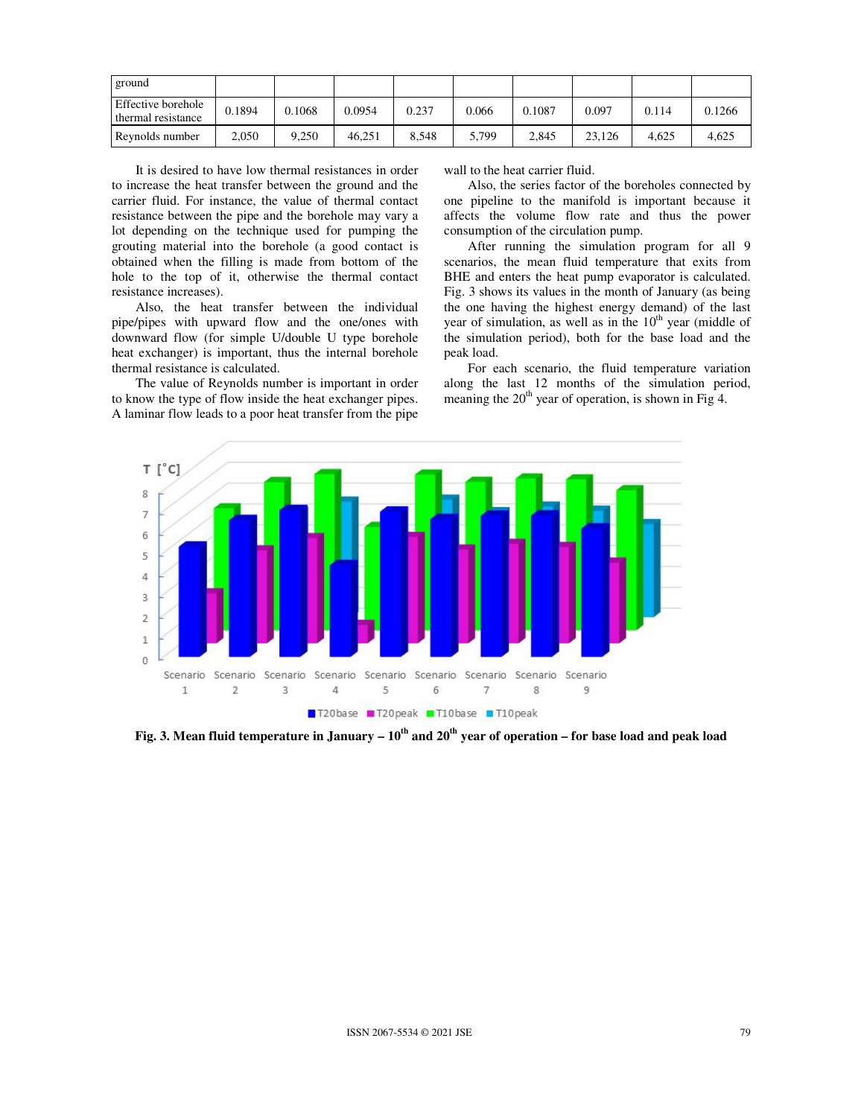| ground                                          |                |        |        |       |       |        |        |       |        |
|-------------------------------------------------|----------------|--------|--------|-------|-------|--------|--------|-------|--------|
| <b>Effective borehole</b><br>thermal resistance | 0.1894         | 0.1068 | 0.0954 | 0.237 | 0.066 | 0.1087 | 0.097  | 0.114 | 0.1266 |
| Revnolds number                                 | $\angle 0.050$ | 9,250  | 46.251 | 8.548 | 5,799 | 2.845  | 23.126 | 4.625 | 4.625  |

It is desired to have low thermal resistances in order to increase the heat transfer between the ground and the carrier fluid. For instance, the value of thermal contact resistance between the pipe and the borehole may vary a lot depending on the technique used for pumping the grouting material into the borehole (a good contact is obtained when the filling is made from bottom of the hole to the top of it, otherwise the thermal contact resistance increases).

Also, the heat transfer between the individual pipe/pipes with upward flow and the one/ones with downward flow (for simple U/double U type borehole heat exchanger) is important, thus the internal borehole thermal resistance is calculated.

The value of Reynolds number is important in order to know the type of flow inside the heat exchanger pipes. A laminar flow leads to a poor heat transfer from the pipe wall to the heat carrier fluid.

Also, the series factor of the boreholes connected by one pipeline to the manifold is important because it affects the volume flow rate and thus the power consumption of the circulation pump.

After running the simulation program for all 9 scenarios, the mean fluid temperature that exits from BHE and enters the heat pump evaporator is calculated. Fig. 3 shows its values in the month of January (as being the one having the highest energy demand) of the last year of simulation, as well as in the  $10<sup>th</sup>$  year (middle of the simulation period), both for the base load and the peak load.

For each scenario, the fluid temperature variation along the last 12 months of the simulation period, meaning the  $20<sup>th</sup>$  year of operation, is shown in Fig 4.



**Fig. 3. Mean fluid temperature in January – 10th and 20th year of operation – for base load and peak load**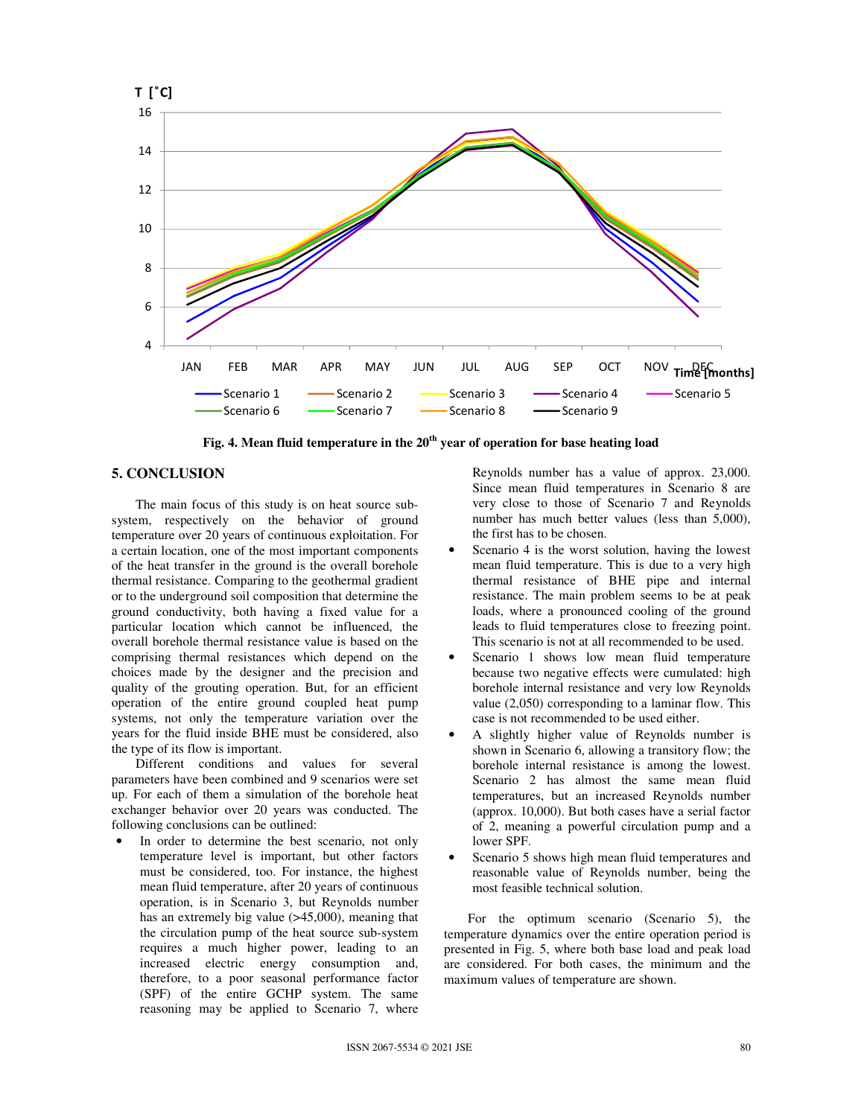

**Fig. 4. Mean fluid temperature in the 20th year of operation for base heating load** 

## **5. CONCLUSION**

The main focus of this study is on heat source subsystem, respectively on the behavior of ground temperature over 20 years of continuous exploitation. For a certain location, one of the most important components of the heat transfer in the ground is the overall borehole thermal resistance. Comparing to the geothermal gradient or to the underground soil composition that determine the ground conductivity, both having a fixed value for a particular location which cannot be influenced, the overall borehole thermal resistance value is based on the comprising thermal resistances which depend on the choices made by the designer and the precision and quality of the grouting operation. But, for an efficient operation of the entire ground coupled heat pump systems, not only the temperature variation over the years for the fluid inside BHE must be considered, also the type of its flow is important.

Different conditions and values for several parameters have been combined and 9 scenarios were set up. For each of them a simulation of the borehole heat exchanger behavior over 20 years was conducted. The following conclusions can be outlined:

In order to determine the best scenario, not only temperature level is important, but other factors must be considered, too. For instance, the highest mean fluid temperature, after 20 years of continuous operation, is in Scenario 3, but Reynolds number has an extremely big value (>45,000), meaning that the circulation pump of the heat source sub-system requires a much higher power, leading to an increased electric energy consumption and, therefore, to a poor seasonal performance factor (SPF) of the entire GCHP system. The same reasoning may be applied to Scenario 7, where Reynolds number has a value of approx. 23,000. Since mean fluid temperatures in Scenario 8 are very close to those of Scenario 7 and Reynolds number has much better values (less than 5,000), the first has to be chosen.

- Scenario 4 is the worst solution, having the lowest mean fluid temperature. This is due to a very high thermal resistance of BHE pipe and internal resistance. The main problem seems to be at peak loads, where a pronounced cooling of the ground leads to fluid temperatures close to freezing point. This scenario is not at all recommended to be used.
- Scenario 1 shows low mean fluid temperature because two negative effects were cumulated: high borehole internal resistance and very low Reynolds value (2,050) corresponding to a laminar flow. This case is not recommended to be used either.
- A slightly higher value of Reynolds number is shown in Scenario 6, allowing a transitory flow; the borehole internal resistance is among the lowest. Scenario 2 has almost the same mean fluid temperatures, but an increased Reynolds number (approx. 10,000). But both cases have a serial factor of 2, meaning a powerful circulation pump and a lower SPF.
- Scenario 5 shows high mean fluid temperatures and reasonable value of Reynolds number, being the most feasible technical solution.

For the optimum scenario (Scenario 5), the temperature dynamics over the entire operation period is presented in Fig. 5, where both base load and peak load are considered. For both cases, the minimum and the maximum values of temperature are shown.